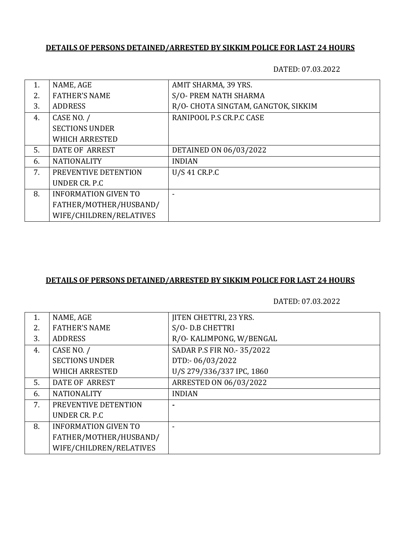## **DETAILS OF PERSONS DETAINED/ARRESTED BY SIKKIM POLICE FOR LAST 24 HOURS**

DATED: 07.03.2022

| 1.  | NAME, AGE                   | AMIT SHARMA, 39 YRS.                |
|-----|-----------------------------|-------------------------------------|
| 2.5 | <b>FATHER'S NAME</b>        | S/O- PREM NATH SHARMA               |
| 3.  | <b>ADDRESS</b>              | R/O- CHOTA SINGTAM, GANGTOK, SIKKIM |
| 4.  | CASE NO. /                  | RANIPOOL P.S CR.P.C CASE            |
|     | <b>SECTIONS UNDER</b>       |                                     |
|     | <b>WHICH ARRESTED</b>       |                                     |
| 5.  | DATE OF ARREST              | DETAINED ON 06/03/2022              |
| 6.  | <b>NATIONALITY</b>          | <b>INDIAN</b>                       |
| 7.  | PREVENTIVE DETENTION        | U/S 41 CR.P.C                       |
|     | UNDER CR. P.C.              |                                     |
| 8.  | <b>INFORMATION GIVEN TO</b> |                                     |
|     | FATHER/MOTHER/HUSBAND/      |                                     |
|     | WIFE/CHILDREN/RELATIVES     |                                     |

### **DETAILS OF PERSONS DETAINED/ARRESTED BY SIKKIM POLICE FOR LAST 24 HOURS**

DATED: 07.03.2022

| 1. | NAME, AGE                   | <b>JITEN CHETTRI, 23 YRS.</b> |
|----|-----------------------------|-------------------------------|
| 2. | <b>FATHER'S NAME</b>        | S/O-D.B CHETTRI               |
| 3. | <b>ADDRESS</b>              | R/O- KALIMPONG, W/BENGAL      |
| 4. | CASE NO. /                  | SADAR P.S FIR NO.- 35/2022    |
|    | <b>SECTIONS UNDER</b>       | DTD:-06/03/2022               |
|    | <b>WHICH ARRESTED</b>       | U/S 279/336/337 IPC, 1860     |
| 5. | <b>DATE OF ARREST</b>       | ARRESTED ON 06/03/2022        |
| 6. | <b>NATIONALITY</b>          | <b>INDIAN</b>                 |
| 7. | PREVENTIVE DETENTION        |                               |
|    | UNDER CR. P.C.              |                               |
| 8. | <b>INFORMATION GIVEN TO</b> |                               |
|    | FATHER/MOTHER/HUSBAND/      |                               |
|    | WIFE/CHILDREN/RELATIVES     |                               |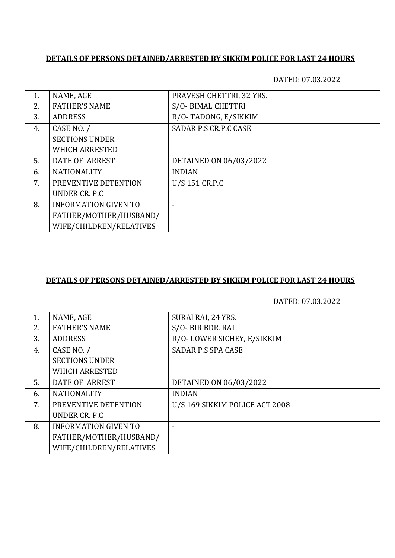#### **DETAILS OF PERSONS DETAINED/ARRESTED BY SIKKIM POLICE FOR LAST 24 HOURS**

DATED: 07.03.2022

| 1. | NAME, AGE                   | PRAVESH CHETTRI, 32 YRS. |
|----|-----------------------------|--------------------------|
| 2. | <b>FATHER'S NAME</b>        | S/O-BIMAL CHETTRI        |
| 3. | <b>ADDRESS</b>              | R/O-TADONG, E/SIKKIM     |
| 4. | CASE NO. /                  | SADAR P.S CR.P.C CASE    |
|    | <b>SECTIONS UNDER</b>       |                          |
|    | <b>WHICH ARRESTED</b>       |                          |
| 5. | DATE OF ARREST              | DETAINED ON 06/03/2022   |
| 6. | <b>NATIONALITY</b>          | <b>INDIAN</b>            |
| 7. | PREVENTIVE DETENTION        | U/S 151 CR.P.C           |
|    | UNDER CR. P.C               |                          |
| 8. | <b>INFORMATION GIVEN TO</b> |                          |
|    | FATHER/MOTHER/HUSBAND/      |                          |
|    | WIFE/CHILDREN/RELATIVES     |                          |

#### **DETAILS OF PERSONS DETAINED/ARRESTED BY SIKKIM POLICE FOR LAST 24 HOURS**

DATED: 07.03.2022

| 1. | NAME, AGE                   | SURAJ RAI, 24 YRS.             |
|----|-----------------------------|--------------------------------|
| 2. | <b>FATHER'S NAME</b>        | S/O- BIR BDR. RAI              |
| 3. | <b>ADDRESS</b>              | R/O-LOWER SICHEY, E/SIKKIM     |
| 4. | CASE NO. /                  | <b>SADAR P.S SPA CASE</b>      |
|    | <b>SECTIONS UNDER</b>       |                                |
|    | <b>WHICH ARRESTED</b>       |                                |
| 5. | DATE OF ARREST              | DETAINED ON 06/03/2022         |
| 6. | <b>NATIONALITY</b>          | <b>INDIAN</b>                  |
| 7. | PREVENTIVE DETENTION        | U/S 169 SIKKIM POLICE ACT 2008 |
|    | UNDER CR. P.C.              |                                |
| 8. | <b>INFORMATION GIVEN TO</b> |                                |
|    | FATHER/MOTHER/HUSBAND/      |                                |
|    | WIFE/CHILDREN/RELATIVES     |                                |
|    |                             |                                |